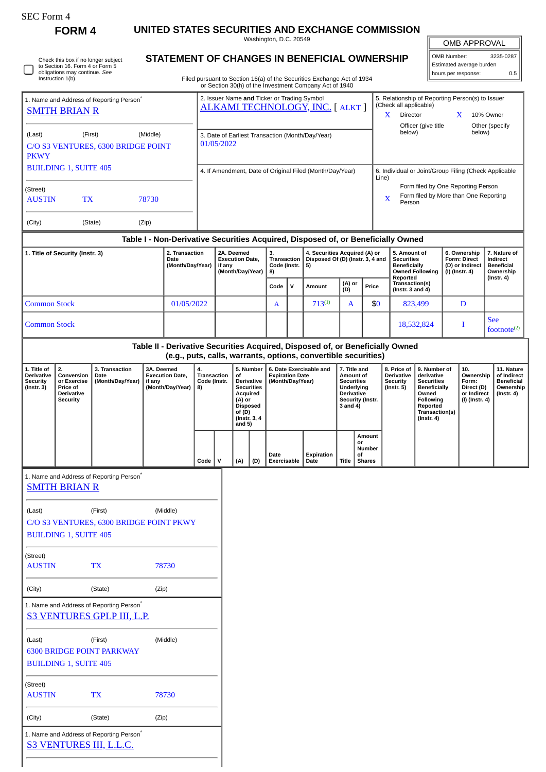| <b>SEC Form 4</b>                                                                                                            |                                                                              |                                                                                                                                                                                                                                                                                                    |                                                                                                               |                                                                                                     |                                                                                                                                                                                            |                                                                    |  |              |                                                                                                                                                                                                                           |                        |                                                                          |                                                                                                                                                 |                                                                                 |                                                                |                                                                                    |                                                     |                                                                     |                     |                                                            |                  |
|------------------------------------------------------------------------------------------------------------------------------|------------------------------------------------------------------------------|----------------------------------------------------------------------------------------------------------------------------------------------------------------------------------------------------------------------------------------------------------------------------------------------------|---------------------------------------------------------------------------------------------------------------|-----------------------------------------------------------------------------------------------------|--------------------------------------------------------------------------------------------------------------------------------------------------------------------------------------------|--------------------------------------------------------------------|--|--------------|---------------------------------------------------------------------------------------------------------------------------------------------------------------------------------------------------------------------------|------------------------|--------------------------------------------------------------------------|-------------------------------------------------------------------------------------------------------------------------------------------------|---------------------------------------------------------------------------------|----------------------------------------------------------------|------------------------------------------------------------------------------------|-----------------------------------------------------|---------------------------------------------------------------------|---------------------|------------------------------------------------------------|------------------|
|                                                                                                                              | <b>FORM 4</b>                                                                |                                                                                                                                                                                                                                                                                                    |                                                                                                               |                                                                                                     |                                                                                                                                                                                            |                                                                    |  |              |                                                                                                                                                                                                                           | Washington, D.C. 20549 |                                                                          | UNITED STATES SECURITIES AND EXCHANGE COMMISSION                                                                                                |                                                                                 |                                                                |                                                                                    |                                                     |                                                                     |                     | OMB APPROVAL                                               |                  |
| Check this box if no longer subject<br>to Section 16. Form 4 or Form 5<br>obligations may continue. See<br>Instruction 1(b). |                                                                              |                                                                                                                                                                                                                                                                                                    |                                                                                                               |                                                                                                     | STATEMENT OF CHANGES IN BENEFICIAL OWNERSHIP                                                                                                                                               |                                                                    |  |              |                                                                                                                                                                                                                           |                        |                                                                          |                                                                                                                                                 |                                                                                 |                                                                | OMB Number:<br>3235-0287<br>Estimated average burden                               |                                                     |                                                                     |                     |                                                            |                  |
|                                                                                                                              |                                                                              |                                                                                                                                                                                                                                                                                                    |                                                                                                               |                                                                                                     | Filed pursuant to Section 16(a) of the Securities Exchange Act of 1934<br>or Section 30(h) of the Investment Company Act of 1940                                                           |                                                                    |  |              |                                                                                                                                                                                                                           |                        |                                                                          |                                                                                                                                                 |                                                                                 |                                                                |                                                                                    |                                                     |                                                                     | hours per response: | 0.5                                                        |                  |
|                                                                                                                              |                                                                              | 1. Name and Address of Reporting Person <sup>®</sup>                                                                                                                                                                                                                                               |                                                                                                               |                                                                                                     |                                                                                                                                                                                            |                                                                    |  |              |                                                                                                                                                                                                                           |                        |                                                                          | 2. Issuer Name and Ticker or Trading Symbol                                                                                                     |                                                                                 |                                                                |                                                                                    | 5. Relationship of Reporting Person(s) to Issuer    |                                                                     |                     |                                                            |                  |
| <b>SMITH BRIAN R</b>                                                                                                         |                                                                              |                                                                                                                                                                                                                                                                                                    |                                                                                                               | (Check all applicable)<br><b>ALKAMI TECHNOLOGY, INC. [ ALKT ]</b><br>$X$ Director<br>10% Owner<br>X |                                                                                                                                                                                            |                                                                    |  |              |                                                                                                                                                                                                                           |                        |                                                                          |                                                                                                                                                 |                                                                                 |                                                                |                                                                                    |                                                     |                                                                     |                     |                                                            |                  |
| (First)<br>(Middle)<br>(Last)                                                                                                |                                                                              |                                                                                                                                                                                                                                                                                                    | Officer (give title<br>Other (specify<br>below)<br>below)<br>3. Date of Earliest Transaction (Month/Day/Year) |                                                                                                     |                                                                                                                                                                                            |                                                                    |  |              |                                                                                                                                                                                                                           |                        |                                                                          |                                                                                                                                                 |                                                                                 |                                                                |                                                                                    |                                                     |                                                                     |                     |                                                            |                  |
| C/O S3 VENTURES, 6300 BRIDGE POINT<br><b>PKWY</b>                                                                            |                                                                              |                                                                                                                                                                                                                                                                                                    |                                                                                                               | 01/05/2022                                                                                          |                                                                                                                                                                                            |                                                                    |  |              |                                                                                                                                                                                                                           |                        |                                                                          |                                                                                                                                                 |                                                                                 |                                                                |                                                                                    |                                                     |                                                                     |                     |                                                            |                  |
| <b>BUILDING 1, SUITE 405</b>                                                                                                 |                                                                              |                                                                                                                                                                                                                                                                                                    |                                                                                                               |                                                                                                     | 4. If Amendment, Date of Original Filed (Month/Day/Year)                                                                                                                                   |                                                                    |  |              |                                                                                                                                                                                                                           |                        |                                                                          |                                                                                                                                                 |                                                                                 | 6. Individual or Joint/Group Filing (Check Applicable<br>Line) |                                                                                    |                                                     |                                                                     |                     |                                                            |                  |
| (Street)<br><b>TX</b><br><b>AUSTIN</b><br>78730                                                                              |                                                                              |                                                                                                                                                                                                                                                                                                    |                                                                                                               |                                                                                                     | X                                                                                                                                                                                          |                                                                    |  |              |                                                                                                                                                                                                                           |                        |                                                                          |                                                                                                                                                 |                                                                                 | Person                                                         | Form filed by One Reporting Person<br>Form filed by More than One Reporting        |                                                     |                                                                     |                     |                                                            |                  |
| (Zip)<br>(City)<br>(State)                                                                                                   |                                                                              |                                                                                                                                                                                                                                                                                                    |                                                                                                               |                                                                                                     |                                                                                                                                                                                            |                                                                    |  |              |                                                                                                                                                                                                                           |                        |                                                                          |                                                                                                                                                 |                                                                                 |                                                                |                                                                                    |                                                     |                                                                     |                     |                                                            |                  |
|                                                                                                                              |                                                                              |                                                                                                                                                                                                                                                                                                    |                                                                                                               |                                                                                                     |                                                                                                                                                                                            |                                                                    |  |              |                                                                                                                                                                                                                           |                        |                                                                          | Table I - Non-Derivative Securities Acquired, Disposed of, or Beneficially Owned                                                                |                                                                                 |                                                                |                                                                                    |                                                     |                                                                     |                     |                                                            |                  |
| 2. Transaction<br>1. Title of Security (Instr. 3)<br>Date<br>(Month/Day/Year)                                                |                                                                              |                                                                                                                                                                                                                                                                                                    |                                                                                                               |                                                                                                     |                                                                                                                                                                                            | 2A. Deemed<br><b>Execution Date,</b><br>if any<br>(Month/Day/Year) |  |              | 3.<br><b>Transaction</b><br>Code (Instr.<br>8)                                                                                                                                                                            |                        | 5)                                                                       |                                                                                                                                                 | 4. Securities Acquired (A) or<br>Disposed Of (D) (Instr. 3, 4 and               |                                                                | 5. Amount of<br><b>Securities</b><br><b>Beneficially</b><br><b>Owned Following</b> |                                                     | 6. Ownership<br>Form: Direct<br>(D) or Indirect<br>$(I)$ (Instr. 4) |                     | 7. Nature of<br>Indirect<br><b>Beneficial</b><br>Ownership |                  |
|                                                                                                                              |                                                                              |                                                                                                                                                                                                                                                                                                    |                                                                                                               |                                                                                                     |                                                                                                                                                                                            |                                                                    |  |              |                                                                                                                                                                                                                           | Code                   | $\mathbf{v}$                                                             | Amount                                                                                                                                          | (A) or<br>(D)                                                                   |                                                                | Price                                                                              | Reported<br>Transaction(s)<br>(Instr. $3$ and $4$ ) |                                                                     |                     |                                                            | $($ Instr. 4 $)$ |
| <b>Common Stock</b><br>01/05/2022                                                                                            |                                                                              |                                                                                                                                                                                                                                                                                                    |                                                                                                               |                                                                                                     |                                                                                                                                                                                            |                                                                    |  | $\mathbf{A}$ |                                                                                                                                                                                                                           | $713^{(1)}$            | A                                                                        |                                                                                                                                                 | \$0                                                                             |                                                                | 823,499                                                                            |                                                     | D                                                                   |                     |                                                            |                  |
| <b>Common Stock</b>                                                                                                          |                                                                              |                                                                                                                                                                                                                                                                                                    |                                                                                                               |                                                                                                     |                                                                                                                                                                                            |                                                                    |  |              |                                                                                                                                                                                                                           |                        |                                                                          |                                                                                                                                                 | 18,532,824                                                                      |                                                                |                                                                                    | I                                                   | <b>See</b><br>footnot $e^{(2)}$                                     |                     |                                                            |                  |
|                                                                                                                              |                                                                              |                                                                                                                                                                                                                                                                                                    |                                                                                                               |                                                                                                     |                                                                                                                                                                                            |                                                                    |  |              |                                                                                                                                                                                                                           |                        |                                                                          | Table II - Derivative Securities Acquired, Disposed of, or Beneficially Owned<br>(e.g., puts, calls, warrants, options, convertible securities) |                                                                                 |                                                                |                                                                                    |                                                     |                                                                     |                     |                                                            |                  |
| 1. Title of<br><b>Derivative</b><br><b>Security</b><br>$($ Instr. 3 $)$                                                      | 2.<br>Conversion<br>or Exercise<br>Price of<br>Derivative<br><b>Security</b> | 3A. Deemed<br>3. Transaction<br>4.<br>5. Number<br><b>Execution Date,</b><br><b>Transaction</b><br>Date<br>οf<br>(Month/Day/Year)<br>Code (Instr.<br><b>Derivative</b><br>if any<br>(Month/Day/Year)<br><b>Securities</b><br>8)<br>Acquired<br>(A) or<br><b>Disposed</b><br>of (D)<br>(Instr. 3, 4 |                                                                                                               |                                                                                                     | 6. Date Exercisable and<br>7. Title and<br><b>Expiration Date</b><br>Amount of<br>(Month/Day/Year)<br><b>Securities</b><br>Underlying<br><b>Derivative</b><br>Security (Instr.<br>3 and 4) |                                                                    |  |              | 8. Price of<br>9. Number of<br><b>Derivative</b><br>derivative<br><b>Security</b><br><b>Securities</b><br><b>Beneficially</b><br>$($ Instr. 5 $)$<br>Owned<br>Following<br>Reported<br>Transaction(s)<br>$($ Instr. 4 $)$ |                        | 10.<br>Ownership<br>Form:<br>Direct (D)<br>or Indirect<br>(I) (Instr. 4) |                                                                                                                                                 | 11. Nature<br>of Indirect<br><b>Beneficial</b><br>Ownership<br>$($ Instr. 4 $)$ |                                                                |                                                                                    |                                                     |                                                                     |                     |                                                            |                  |
|                                                                                                                              |                                                                              |                                                                                                                                                                                                                                                                                                    |                                                                                                               |                                                                                                     |                                                                                                                                                                                            |                                                                    |  | and $5)$     |                                                                                                                                                                                                                           |                        |                                                                          |                                                                                                                                                 |                                                                                 |                                                                |                                                                                    |                                                     |                                                                     |                     |                                                            |                  |
|                                                                                                                              |                                                                              |                                                                                                                                                                                                                                                                                                    |                                                                                                               |                                                                                                     | Code                                                                                                                                                                                       | $\mathsf{v}$                                                       |  | (A)          | (D)                                                                                                                                                                                                                       | Date<br>Exercisable    |                                                                          | Expiration<br>Date                                                                                                                              | <b>Title</b>                                                                    | or<br>of                                                       | Amount<br><b>Number</b><br><b>Shares</b>                                           |                                                     |                                                                     |                     |                                                            |                  |
|                                                                                                                              | <b>SMITH BRIAN R</b>                                                         | 1. Name and Address of Reporting Person*                                                                                                                                                                                                                                                           |                                                                                                               |                                                                                                     |                                                                                                                                                                                            |                                                                    |  |              |                                                                                                                                                                                                                           |                        |                                                                          |                                                                                                                                                 |                                                                                 |                                                                |                                                                                    |                                                     |                                                                     |                     |                                                            |                  |
|                                                                                                                              |                                                                              |                                                                                                                                                                                                                                                                                                    |                                                                                                               |                                                                                                     |                                                                                                                                                                                            |                                                                    |  |              |                                                                                                                                                                                                                           |                        |                                                                          |                                                                                                                                                 |                                                                                 |                                                                |                                                                                    |                                                     |                                                                     |                     |                                                            |                  |
| (Last)                                                                                                                       | <b>BUILDING 1, SUITE 405</b>                                                 | (First)<br>C/O S3 VENTURES, 6300 BRIDGE POINT PKWY                                                                                                                                                                                                                                                 |                                                                                                               | (Middle)                                                                                            |                                                                                                                                                                                            |                                                                    |  |              |                                                                                                                                                                                                                           |                        |                                                                          |                                                                                                                                                 |                                                                                 |                                                                |                                                                                    |                                                     |                                                                     |                     |                                                            |                  |
| (Street)<br><b>AUSTIN</b><br>78730<br><b>TX</b>                                                                              |                                                                              |                                                                                                                                                                                                                                                                                                    |                                                                                                               |                                                                                                     |                                                                                                                                                                                            |                                                                    |  |              |                                                                                                                                                                                                                           |                        |                                                                          |                                                                                                                                                 |                                                                                 |                                                                |                                                                                    |                                                     |                                                                     |                     |                                                            |                  |
| (City)<br>(State)<br>(Zip)                                                                                                   |                                                                              |                                                                                                                                                                                                                                                                                                    |                                                                                                               |                                                                                                     |                                                                                                                                                                                            |                                                                    |  |              |                                                                                                                                                                                                                           |                        |                                                                          |                                                                                                                                                 |                                                                                 |                                                                |                                                                                    |                                                     |                                                                     |                     |                                                            |                  |
|                                                                                                                              |                                                                              | 1. Name and Address of Reporting Person*<br><b>S3 VENTURES GPLP III, L.P.</b>                                                                                                                                                                                                                      |                                                                                                               |                                                                                                     |                                                                                                                                                                                            |                                                                    |  |              |                                                                                                                                                                                                                           |                        |                                                                          |                                                                                                                                                 |                                                                                 |                                                                |                                                                                    |                                                     |                                                                     |                     |                                                            |                  |
| (Last)                                                                                                                       | <b>BUILDING 1, SUITE 405</b>                                                 | (First)<br><b>6300 BRIDGE POINT PARKWAY</b>                                                                                                                                                                                                                                                        |                                                                                                               | (Middle)                                                                                            |                                                                                                                                                                                            |                                                                    |  |              |                                                                                                                                                                                                                           |                        |                                                                          |                                                                                                                                                 |                                                                                 |                                                                |                                                                                    |                                                     |                                                                     |                     |                                                            |                  |
| (Street)<br><b>AUSTIN</b><br>78730<br><b>TX</b>                                                                              |                                                                              |                                                                                                                                                                                                                                                                                                    |                                                                                                               |                                                                                                     |                                                                                                                                                                                            |                                                                    |  |              |                                                                                                                                                                                                                           |                        |                                                                          |                                                                                                                                                 |                                                                                 |                                                                |                                                                                    |                                                     |                                                                     |                     |                                                            |                  |
| (City)<br>(State)                                                                                                            |                                                                              | (Zip)                                                                                                                                                                                                                                                                                              |                                                                                                               |                                                                                                     |                                                                                                                                                                                            |                                                                    |  |              |                                                                                                                                                                                                                           |                        |                                                                          |                                                                                                                                                 |                                                                                 |                                                                |                                                                                    |                                                     |                                                                     |                     |                                                            |                  |

| 1. Name and Address of Reporting Person* |  |
|------------------------------------------|--|
| S3 VENTURES III, L.L.C.                  |  |